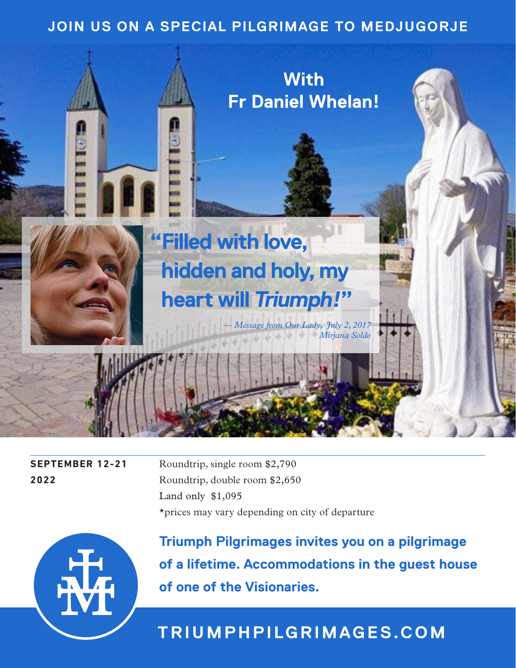## **JOIN US ON A SPECIAL PILGRIMAGE TO MEDJUGORJE**



**SEPTEMBER 12-21** Roundtrip, single room \$2,790 **2022** Roundtrip, double room \$2,650 Land only \$1,095 \*prices may vary depending on city of departure



**Triumph Pilgrimages invites you on a pilgrimage of a lifetime. Accommodations in the guest house of one of the Visionaries.**

# **TRIUMPHPILGRIMAGES.COM**